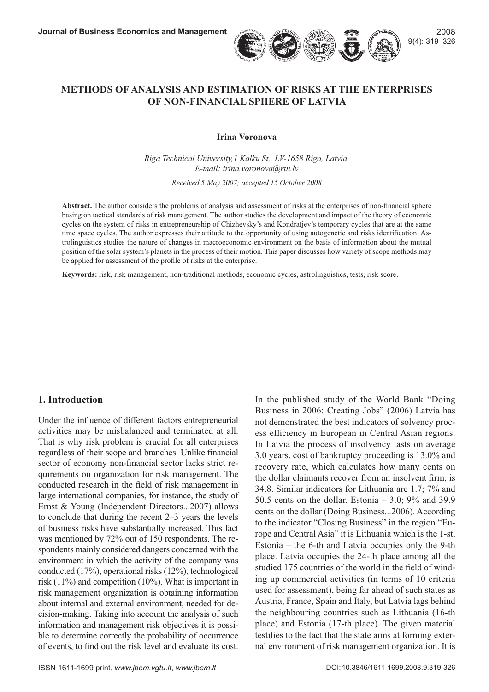

# **METHODS OF ANALYSIS AND ESTIMATION OF RISKS AT THE ENTERPRISES OF NON-FINANCIAL SPHERE OF LATVIA**

#### **Irina Voronova**

*Riga Technical University,1 Kalku St., LV-1658 Riga, Latvia. E-mail: irina.voronova@rtu.lv*

*Received 5 May 2007; accepted 15 October 2008*

Abstract. The author considers the problems of analysis and assessment of risks at the enterprises of non-financial sphere basing on tactical standards of risk management. The author studies the development and impact of the theory of economic cycles on the system of risks in entrepreneurship of Chizhevsky's and Kondratjev's temporary cycles that are at the same time space cycles. The author expresses their attitude to the opportunity of using autogenetic and risks identification. Astrolinguistics studies the nature of changes in macroeconomic environment on the basis of information about the mutual position of the solar system's planets in the process of their motion. This paper discusses how variety of scope methods may be applied for assessment of the profile of risks at the enterprise.

**Keywords:** risk, risk management, non-traditional methods, economic cycles, astrolinguistics, tests, risk score.

#### **1. Introduction**

Under the influence of different factors entrepreneurial activities may be misbalanced and terminated at all. That is why risk problem is crucial for all enterprises regardless of their scope and branches. Unlike financial sector of economy non-financial sector lacks strict requirements on organization for risk management. The conducted research in the field of risk management in large international companies, for instance, the study of Ernst & Young (Independent Directors...2007) allows to conclude that during the recent 2–3 years the levels of business risks have substantially increased. This fact was mentioned by 72% out of 150 respondents. The respondents mainly considered dangers concerned with the environment in which the activity of the company was conducted (17%), operational risks (12%), technological risk (11%) and competition (10%). What is important in risk management organization is obtaining information about internal and external environment, needed for decision-making. Taking into account the analysis of such information and management risk objectives it is possible to determine correctly the probability of occurrence of events, to find out the risk level and evaluate its cost.

Business in 2006: Creating Jobs" (2006) Latvia has not demonstrated the best indicators of solvency process efficiency in European in Central Asian regions. In Latvia the process of insolvency lasts on average 3.0 years, cost of bankruptcy proceeding is 13.0% and recovery rate, which calculates how many cents on the dollar claimants recover from an insolvent firm, is 34.8. Similar indicators for Lithuania are 1.7; 7% and 50.5 cents on the dollar. Estonia  $-3.0$ ; 9% and 39.9 cents on the dollar (Doing Business...2006). According to the indicator "Closing Business" in the region "Europe and Central Asia" it is Lithuania which is the 1-st, Estonia – the 6-th and Latvia occupies only the 9-th place. Latvia occupies the 24-th place among all the studied 175 countries of the world in the field of winding up commercial activities (in terms of 10 criteria used for assessment), being far ahead of such states as Austria, France, Spain and Italy, but Latvia lags behind the neighbouring countries such as Lithuania (16-th place) and Estonia (17-th place). The given material testifies to the fact that the state aims at forming external environment of risk management organization. It is

In the published study of the World Bank "Doing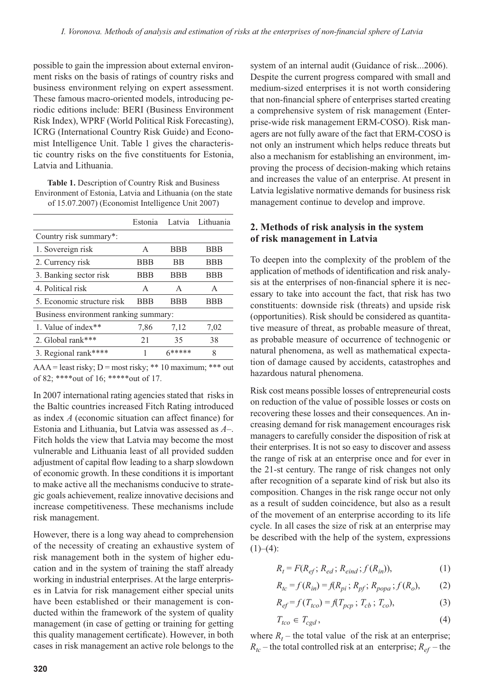possible to gain the impression about external environment risks on the basis of ratings of country risks and business environment relying on expert assessment. These famous macro-oriented models, introducing periodic editions include: BERI (Business Environment Risk Index), WPRF (World Political Risk Forecasting), ICRG (International Country Risk Guide) and Economist Intelligence Unit. Table 1 gives the characteristic country risks on the five constituents for Estonia, Latvia and Lithuania.

**Table 1.** Description of Country Risk and Business Environment of Estonia, Latvia and Lithuania (on the state of 15.07.2007) (Economist Intelligence Unit 2007)

|                                       | Estonia    |            | Latvia Lithuania |  |  |
|---------------------------------------|------------|------------|------------------|--|--|
| Country risk summary*:                |            |            |                  |  |  |
| 1. Sovereign risk                     | A          | <b>BBB</b> | <b>BBB</b>       |  |  |
| 2. Currency risk                      | <b>BBB</b> | BB         | <b>BBB</b>       |  |  |
| 3. Banking sector risk                | <b>BBB</b> | <b>BBB</b> | BBB              |  |  |
| 4. Political risk                     | A          | A          | A                |  |  |
| 5. Economic structure risk            | <b>BBB</b> | <b>BBB</b> | <b>BBB</b>       |  |  |
| Business environment ranking summary: |            |            |                  |  |  |
| 1. Value of index $**$                | 7,86       | 7,12       | 7,02             |  |  |
| 2. Global rank***                     | 21         | 35         | 38               |  |  |
| 3. Regional rank****                  |            | 6*****     | 8                |  |  |

 $AAA =$  least risky;  $D =$  most risky; \*\* 10 maximum; \*\*\* out of 82; \*\*\*\*out of 16; \*\*\*\*\*out of 17.

In 2007 international rating agencies stated that risks in the Baltic countries increased Fitch Rating introduced as index *A* (economic situation can affect finance) for Estonia and Lithuania, but Latvia was assessed as *A–*. Fitch holds the view that Latvia may become the most vulnerable and Lithuania least of all provided sudden adjustment of capital flow leading to a sharp slowdown of economic growth. In these conditions it is important to make active all the mechanisms conducive to strategic goals achievement, realize innovative decisions and increase competitiveness. These mechanisms include risk management.

However, there is a long way ahead to comprehension of the necessity of creating an exhaustive system of risk management both in the system of higher education and in the system of training the staff already working in industrial enterprises. At the large enterprises in Latvia for risk management either special units have been established or their management is conducted within the framework of the system of quality management (in case of getting or training for getting this quality management certificate). However, in both cases in risk management an active role belongs to the

system of an internal audit (Guidance of risk...2006). Despite the current progress compared with small and medium-sized enterprises it is not worth considering that non-financial sphere of enterprises started creating a comprehensive system of risk management (Enterprise-wide risk management ERM-COSO). Risk managers are not fully aware of the fact that ERM-COSO is not only an instrument which helps reduce threats but also a mechanism for establishing an environment, improving the process of decision-making which retains and increases the value of an enterprise. At present in Latvia legislative normative demands for business risk management continue to develop and improve.

### **2. Methods of risk analysis in the system of risk management in Latvia**

To deepen into the complexity of the problem of the application of methods of identification and risk analysis at the enterprises of non-financial sphere it is necessary to take into account the fact, that risk has two constituents: downside risk (threats) and upside risk (opportunities). Risk should be considered as quantitative measure of threat, as probable measure of threat, as probable measure of occurrence of technogenic or natural phenomena, as well as mathematical expectation of damage caused by accidents, catastrophes and hazardous natural phenomena.

Risk cost means possible losses of entrepreneurial costs on reduction of the value of possible losses or costs on recovering these losses and their consequences. An increasing demand for risk management encourages risk managers to carefully consider the disposition of risk at their enterprises. It is not so easy to discover and assess the range of risk at an enterprise once and for ever in the 21-st century. The range of risk changes not only after recognition of a separate kind of risk but also its composition. Changes in the risk range occur not only as a result of sudden coincidence, but also as a result of the movement of an enterprise according to its life cycle. In all cases the size of risk at an enterprise may be described with the help of the system, expressions  $(1)–(4)$ :

$$
R_t = F(R_{ef}; R_{ed}; R_{eind}; f(R_{in})),
$$
\n(1)

$$
R_{tc} = f(R_{in}) = f(R_{pi}; R_{pf}; R_{popa}; f(R_o),
$$
 (2)

$$
R_{ef} = f(T_{tco}) = f(T_{pcp} \, ; \, T_{cb} \, ; \, T_{co}),\tag{3}
$$

$$
T_{tco} \in T_{cgd},\tag{4}
$$

where  $R_t$  – the total value of the risk at an enterprise;  $R_{tc}$  – the total controlled risk at an enterprise;  $R_{cf}$  – the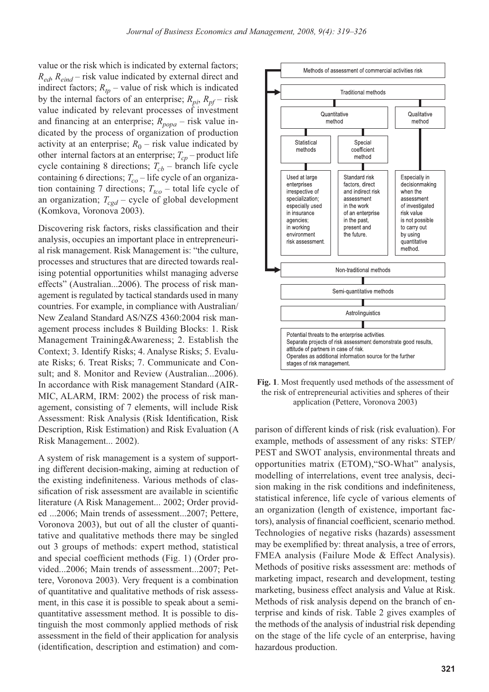value or the risk which is indicated by external factors; *Red*, *Reind* – risk value indicated by external direct and indirect factors;  $R_{tp}$  – value of risk which is indicated by the internal factors of an enterprise;  $R_{pi}$ ,  $R_{pf}$  – risk value indicated by relevant processes of investment and financing at an enterprise;  $R_{popa}$  – risk value indicated by the process of organization of production activity at an enterprise;  $R_0$  – risk value indicated by other internal factors at an enterprise;  $T_{cp}$  – product life cycle containing 8 directions;  $T_{cb}$  – branch life cycle containing 6 directions;  $T_{co}$  – life cycle of an organization containing 7 directions;  $T_{tco}$  – total life cycle of an organization;  $T_{\text{cgd}}$  – cycle of global development (Komkova, Voronova 2003).

Discovering risk factors, risks classification and their analysis, occupies an important place in entrepreneurial risk management. Risk Management is: "the culture, processes and structures that are directed towards realising potential opportunities whilst managing adverse effects" (Australian...2006). The process of risk management is regulated by tactical standards used in many countries. For example, in compliance with Australian/ New Zealand Standard AS/NZS 4360:2004 risk management process includes 8 Building Blocks: 1. Risk Management Training&Awareness; 2. Establish the Context; 3. Identify Risks; 4. Analyse Risks; 5. Evaluate Risks; 6. Treat Risks; 7. Communicate and Consult; and 8. Monitor and Review (Australian...2006). In accordance with Risk management Standard (AIR-MIC, ALARM, IRM: 2002) the process of risk management, consisting of 7 elements, will include Risk Assessment: Risk Analysis (Risk Identification, Risk Description, Risk Estimation) and Risk Evaluation (A Risk Management... 2002).

A system of risk management is a system of supporting different decision-making, aiming at reduction of the existing indefiniteness. Various methods of classification of risk assessment are available in scientific literature (A Risk Management... 2002; Order provided ...2006; Main trends of assessment...2007; Pettere, Voronova 2003), but out of all the cluster of quantitative and qualitative methods there may be singled out 3 groups of methods: expert method, statistical and special coefficient methods (Fig. 1) (Order provided...2006; Main trends of assessment...2007; Pettere, Voronova 2003). Very frequent is a combination of quantitative and qualitative methods of risk assessment, in this case it is possible to speak about a semiquantitative assessment method. It is possible to distinguish the most commonly applied methods of risk assessment in the field of their application for analysis (identification, description and estimation) and com-



**Fig. 1**. Most frequently used methods of the assessment of the risk of entrepreneurial activities and spheres of their application (Pettere, Voronova 2003)

parison of different kinds of risk (risk evaluation). For example, methods of assessment of any risks: STEP/ PEST and SWOT analysis, environmental threats and opportunities matrix (ETOM),"SO-What" analysis, modelling of interrelations, event tree analysis, decision making in the risk conditions and indefiniteness, statistical inference, life cycle of various elements of an organization (length of existence, important factors), analysis of financial coefficient, scenario method. Technologies of negative risks (hazards) assessment may be exemplified by: threat analysis, a tree of errors, FMEA analysis (Failure Mode & Effect Analysis). Methods of positive risks assessment are: methods of marketing impact, research and development, testing marketing, business effect analysis and Value at Risk. Methods of risk analysis depend on the branch of enterprise and kinds of risk. Table 2 gives examples of the methods of the analysis of industrial risk depending on the stage of the life cycle of an enterprise, having hazardous production.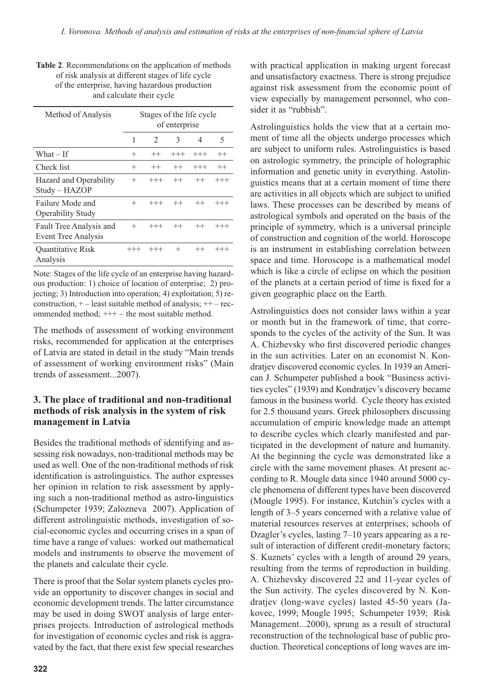| Method of Analysis                             | Stages of the life cycle<br>of enterprise |                             |          |          |          |
|------------------------------------------------|-------------------------------------------|-----------------------------|----------|----------|----------|
|                                                | 1                                         | $\mathcal{D}_{\mathcal{L}}$ | 3        | 4        | 5        |
| What – If                                      | $\pm$                                     | $^{++}$                     | $^{+++}$ | $^{+++}$ | $^{++}$  |
| Check list                                     | $\pm$                                     | $^{++}$                     | $^{++}$  | $^{+++}$ | $^{++}$  |
| Hazard and Operability<br>Study – HAZOP        | $^+$                                      | $^{+++}$                    | $^{++}$  | $^{++}$  | $^{+++}$ |
| Failure Mode and<br><b>Operability Study</b>   | $\pm$                                     | $^{+++}$                    | $^{++}$  | $^{++}$  | $^{+++}$ |
| Fault Tree Analysis and<br>Event Tree Analysis | $\pm$                                     | $^{+++}$                    | $^{++}$  | $^{++}$  | $^{+++}$ |
| <b>Ouantitative Risk</b><br>Analysis           |                                           | $^{+++}$                    | $^{+}$   |          |          |

| <b>Table 2.</b> Recommendations on the application of methods |
|---------------------------------------------------------------|
| of risk analysis at different stages of life cycle            |
| of the enterprise, having hazardous production                |
| and calculate their cycle                                     |

Note: Stages of the life cycle of an enterprise having hazardous production: 1) choice of location of enterprise; 2) projecting; 3) Introduction into operation; 4) exploitation; 5) reconstruction,  $+$  – least suitable method of analysis;  $++$  – recommended method;  $++-$  the most suitable method.

The methods of assessment of working environment risks, recommended for application at the enterprises of Latvia are stated in detail in the study "Main trends of assessment of working environment risks" (Main trends of assessment...2007).

# **3. The place of traditional and non-traditional methods of risk analysis in the system of risk management in Latvia**

Besides the traditional methods of identifying and assessing risk nowadays, non-traditional methods may be used as well. One of the non-traditional methods of risk identification is astrolinguistics. The author expresses her opinion in relation to risk assessment by applying such a non-traditional method as astro-linguistics (Schumpeter 1939; Zalozneva 2007). Application of different astrolinguistic methods, investigation of social-economic cycles and occurring crises in a span of time have a range of values: worked out mathematical models and instruments to observe the movement of the planets and calculate their cycle.

There is proof that the Solar system planets cycles provide an opportunity to discover changes in social and economic development trends. The latter circumstance may be used in doing SWOT analysis of large enterprises projects. Introduction of astrological methods for investigation of economic cycles and risk is aggravated by the fact, that there exist few special researches with practical application in making urgent forecast and unsatisfactory exactness. There is strong prejudice against risk assessment from the economic point of view especially by management personnel, who consider it as "rubbish".

Astrolinguistics holds the view that at a certain moment of time all the objects undergo processes which are subject to uniform rules. Astrolinguistics is based on astrologic symmetry, the principle of holographic information and genetic unity in everything. Astolinguistics means that at a certain moment of time there are activities in all objects which are subject to unified laws. These processes can be described by means of astrological symbols and operated on the basis of the principle of symmetry, which is a universal principle of construction and cognition of the world. Horoscope is an instrument in establishing correlation between space and time. Horoscope is a mathematical model which is like a circle of eclipse on which the position of the planets at a certain period of time is fixed for a given geographic place on the Earth.

Astrolinguistics does not consider laws within a year or month but in the framework of time, that corresponds to the cycles of the activity of the Sun. It was A. Chizhevsky who first discovered periodic changes in the sun activities. Later on an economist N. Kondratjev discovered economic cycles. In 1939 an American J. Schumpeter published a book "Business activities cycles" (1939) and Kondratjev's discovery became famous in the business world. Cycle theory has existed for 2.5 thousand years. Greek philosophers discussing accumulation of empiric knowledge made an attempt to describe cycles which clearly manifested and participated in the development of nature and humanity. At the beginning the cycle was demonstrated like a circle with the same movement phases. At present according to R. Mougle data since 1940 around 5000 cycle phenomena of different types have been discovered (Mougle 1995). For instance, Kutchin's cycles with a length of 3–5 years concerned with a relative value of material resources reserves at enterprises; schools of Dzagler's cycles, lasting 7–10 years appearing as a result of interaction of different credit-monetary factors; S. Kuznets' cycles with a length of around 29 years, resulting from the terms of reproduction in building. A. Chizhevsky discovered 22 and 11-year cycles of the Sun activity. The cycles discovered by N. Kondratjev (long-wave cycles) lasted 45-50 years (Jakovec, 1999; Mougle 1995; Schumpeter 1939; Risk Management...2000), sprung as a result of structural reconstruction of the technological base of public production. Theoretical conceptions of long waves are im-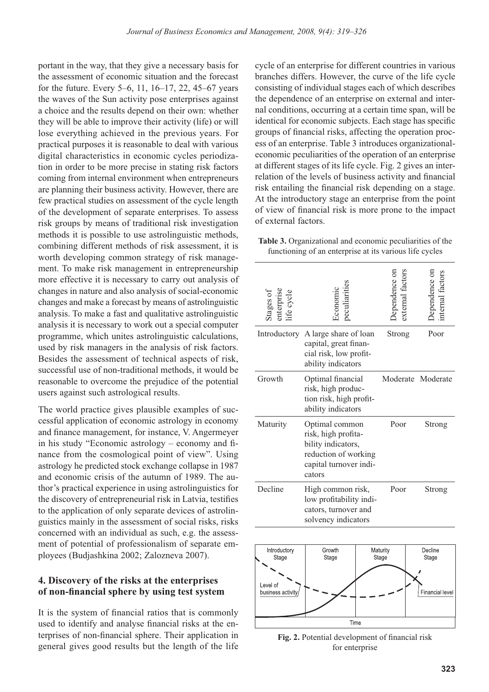portant in the way, that they give a necessary basis for the assessment of economic situation and the forecast for the future. Every 5–6, 11, 16–17, 22, 45–67 years the waves of the Sun activity pose enterprises against a choice and the results depend on their own: whether they will be able to improve their activity (life) or will lose everything achieved in the previous years. For practical purposes it is reasonable to deal with various digital characteristics in economic cycles periodization in order to be more precise in stating risk factors coming from internal environment when entrepreneurs are planning their business activity. However, there are few practical studies on assessment of the cycle length of the development of separate enterprises. To assess risk groups by means of traditional risk investigation methods it is possible to use astrolinguistic methods, combining different methods of risk assessment, it is worth developing common strategy of risk management. To make risk management in entrepreneurship more effective it is necessary to carry out analysis of changes in nature and also analysis of social-economic changes and make a forecast by means of astrolinguistic analysis. To make a fast and qualitative astrolinguistic analysis it is necessary to work out a special computer programme, which unites astrolinguistic calculations, used by risk managers in the analysis of risk factors. Besides the assessment of technical aspects of risk, successful use of non-traditional methods, it would be reasonable to overcome the prejudice of the potential users against such astrological results.

The world practice gives plausible examples of successful application of economic astrology in economy and finance management, for instance, V. Angermeyer in his study "Economic astrology  $-$  economy and finance from the cosmological point of view". Using astrology he predicted stock exchange collapse in 1987 and economic crisis of the autumn of 1989. The author's practical experience in using astrolinguistics for the discovery of entrepreneurial risk in Latvia, testifies to the application of only separate devices of astrolinguistics mainly in the assessment of social risks, risks concerned with an individual as such, e.g. the assessment of potential of professionalism of separate employees (Budjashkina 2002; Zalozneva 2007).

### **4. Discovery of the risks at the enterprises**  of non-financial sphere by using test system

It is the system of financial ratios that is commonly used to identify and analyse financial risks at the enterprises of non-financial sphere. Their application in general gives good results but the length of the life

cycle of an enterprise for different countries in various branches differs. However, the curve of the life cycle consisting of individual stages each of which describes the dependence of an enterprise on external and internal conditions, occurring at a certain time span, will be identical for economic subjects. Each stage has specific groups of financial risks, affecting the operation process of an enterprise. Table 3 introduces organizationaleconomic peculiarities of the operation of an enterprise at different stages of its life cycle. Fig. 2 gives an interrelation of the levels of business activity and financial risk entailing the financial risk depending on a stage. At the introductory stage an enterprise from the point of view of financial risk is more prone to the impact of external factors.

**Table 3.** Organizational and economic peculiarities of the functioning of an enterprise at its various life cycles

| Stages of<br>enterprise<br>ife cycle. |                                                                                                                         | external factors<br>Jependence or | ependence or<br>nternal factors |
|---------------------------------------|-------------------------------------------------------------------------------------------------------------------------|-----------------------------------|---------------------------------|
|                                       | Introductory A large share of loan<br>capital, great finan-<br>cial risk, low profit-<br>ability indicators             | Strong                            | Poor                            |
| Growth                                | Optimal financial<br>risk, high produc-<br>tion risk, high profit-<br>ability indicators                                |                                   | Moderate Moderate               |
| Maturity                              | Optimal common<br>risk, high profita-<br>bility indicators,<br>reduction of working<br>capital turnover indi-<br>cators | Poor                              | Strong                          |
| Decline                               | High common risk,<br>low profitability indi-<br>cators, turnover and<br>solvency indicators                             | Poor                              | Strong                          |



Fig. 2. Potential development of financial risk for enterprise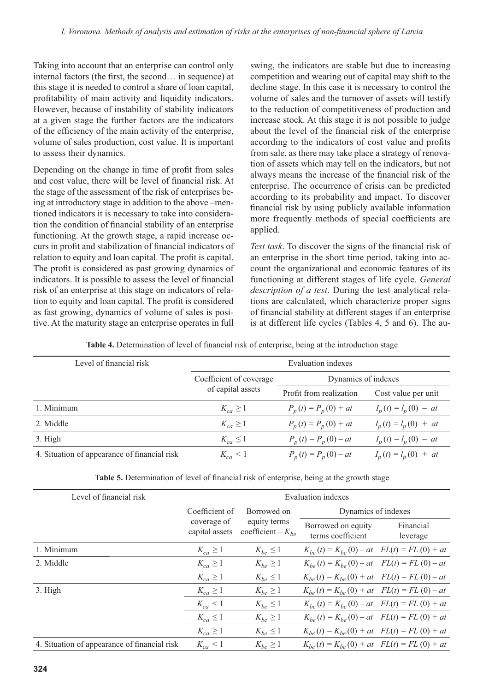Taking into account that an enterprise can control only internal factors (the first, the second... in sequence) at this stage it is needed to control a share of loan capital, profitability of main activity and liquidity indicators. However, because of instability of stability indicators at a given stage the further factors are the indicators of the efficiency of the main activity of the enterprise, volume of sales production, cost value. It is important to assess their dynamics.

Depending on the change in time of profit from sales and cost value, there will be level of financial risk. At the stage of the assessment of the risk of enterprises being at introductory stage in addition to the above –mentioned indicators it is necessary to take into consideration the condition of financial stability of an enterprise functioning. At the growth stage, a rapid increase occurs in profit and stabilization of financial indicators of relation to equity and loan capital. The profit is capital. The profit is considered as past growing dynamics of indicators. It is possible to assess the level of financial risk of an enterprise at this stage on indicators of relation to equity and loan capital. The profit is considered as fast growing, dynamics of volume of sales is positive. At the maturity stage an enterprise operates in full

swing, the indicators are stable but due to increasing competition and wearing out of capital may shift to the decline stage. In this case it is necessary to control the volume of sales and the turnover of assets will testify to the reduction of competitiveness of production and increase stock. At this stage it is not possible to judge about the level of the financial risk of the enterprise according to the indicators of cost value and profits from sale, as there may take place a strategy of renovation of assets which may tell on the indicators, but not always means the increase of the financial risk of the enterprise. The occurrence of crisis can be predicted according to its probability and impact. To discover financial risk by using publicly available information more frequently methods of special coefficients are applied.

Test task. To discover the signs of the financial risk of an enterprise in the short time period, taking into account the organizational and economic features of its functioning at different stages of life cycle. *General description of a test*. During the test analytical relations are calculated, which characterize proper signs of financial stability at different stages if an enterprise is at different life cycles (Tables 4, 5 and 6). The au-

**Table 4.** Determination of level of financial risk of enterprise, being at the introduction stage

| Level of financial risk                      | Evaluation indexes                           |                         |                        |  |
|----------------------------------------------|----------------------------------------------|-------------------------|------------------------|--|
|                                              | Coefficient of coverage<br>of capital assets | Dynamics of indexes     |                        |  |
|                                              |                                              | Profit from realization | Cost value per unit    |  |
| 1. Minimum                                   | $K_{ca} \geq 1$                              | $P_p(t) = P_p(0) + at$  | $I_p(t) = I_p(0) - at$ |  |
| 2. Middle                                    | $K_{ca} \geq 1$                              | $P_p(t) = P_p(0) + at$  | $I_p(t) = I_p(0) + at$ |  |
| 3. High                                      | $K_{ca} \leq 1$                              | $P_p(t) = P_p(0) - at$  | $I_p(t) = I_p(0) - at$ |  |
| 4. Situation of appearance of financial risk | $K_{ca}$ < 1                                 | $P_p(t) = P_p(0) - at$  | $I_p(t) = I_p(0) + at$ |  |

| Level of financial risk                      | Evaluation indexes                              |                                                       |                                                         |                       |  |
|----------------------------------------------|-------------------------------------------------|-------------------------------------------------------|---------------------------------------------------------|-----------------------|--|
|                                              | Coefficient of<br>coverage of<br>capital assets | Borrowed on<br>equity terms<br>coefficient – $K_{he}$ | Dynamics of indexes                                     |                       |  |
|                                              |                                                 |                                                       | Borrowed on equity<br>terms coefficient                 | Financial<br>leverage |  |
| 1. Minimum                                   | $K_{ca} \geq 1$                                 | $K_{he} \leq 1$                                       | $K_{he}(t) = K_{he}(0) - at$ $FL(t) = FL(0) + at$       |                       |  |
| 2. Middle                                    | $K_{ca} \geq 1$                                 | $K_{he} \geq 1$                                       | $K_{be}(t) = K_{be}(0) - at$ $FL(t) = FL(0) - at$       |                       |  |
|                                              | $K_{ca} \geq 1$                                 | $K_{he} \leq 1$                                       | $K_{b\rho}(t) = K_{b\rho}(0) + at$ $FL(t) = FL(0) - at$ |                       |  |
| 3. High                                      | $K_{ca} \geq 1$                                 | $K_{be} \geq 1$                                       | $K_{he}(t) = K_{he}(0) + at$ $FL(t) = FL(0) - at$       |                       |  |
|                                              | $K_{ca}$ < 1                                    | $K_{he} \leq 1$                                       | $K_{he}(t) = K_{he}(0) - at$ $FL(t) = FL(0) + at$       |                       |  |
|                                              | $K_{ca} \leq 1$                                 | $K_{he} \geq 1$                                       | $K_{be}(t) = K_{be}(0) - at$ $FL(t) = FL(0) + at$       |                       |  |
|                                              | $K_{ca} \geq 1$                                 | $K_{he} \leq 1$                                       | $K_{he}(t) = K_{he}(0) + at$ $FL(t) = FL(0) + at$       |                       |  |
| 4. Situation of appearance of financial risk | $K_{ca}$ < 1                                    | $K_{he} \geq 1$                                       | $K_{b\rho}(t) = K_{b\rho}(0) + at$ $FL(t) = FL(0) + at$ |                       |  |

Table 5. Determination of level of financial risk of enterprise, being at the growth stage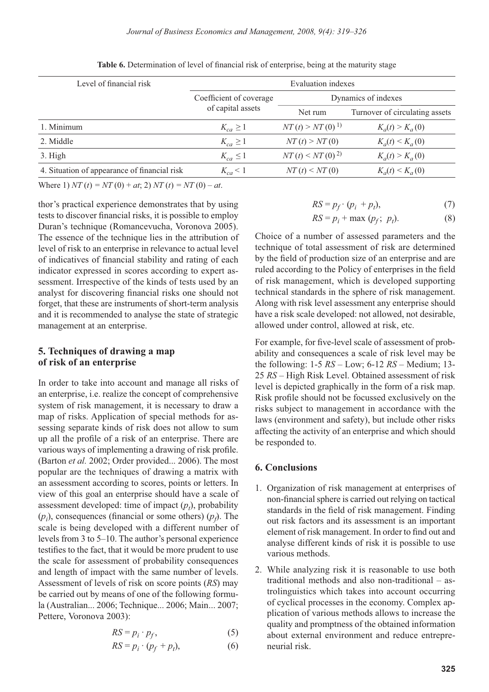| Level of financial risk                      | Evaluation indexes                           |                        |                                |  |
|----------------------------------------------|----------------------------------------------|------------------------|--------------------------------|--|
|                                              | Coefficient of coverage<br>of capital assets | Dynamics of indexes    |                                |  |
|                                              |                                              | Net rum                | Turnover of circulating assets |  |
| 1. Minimum                                   | $K_{ca} \geq 1$                              | $NT(t) > NT(0)^{1}$    | $K_a(t) > K_a(0)$              |  |
| 2. Middle                                    | $K_{ca} \geq 1$                              | NT(t) > NT(0)          | $K_a(t) \le K_a(0)$            |  |
| 3. High                                      | $K_{ca} \leq 1$                              | $NT(t) \leq NT(0)^{2}$ | $K_a(t) > K_a(0)$              |  |
| 4. Situation of appearance of financial risk | $K_{ca}$ < 1                                 | $NT(t) \leq NT(0)$     | $K_a(t) \le K_a(0)$            |  |

**Table 6.** Determination of level of financial risk of enterprise, being at the maturity stage

Where 1)  $NT(t) = NT(0) + at$ ; 2)  $NT(t) = NT(0) - at$ .

thor's practical experience demonstrates that by using tests to discover financial risks, it is possible to employ Duran's technique (Romancevucha, Voronova 2005). The essence of the technique lies in the attribution of level of risk to an enterprise in relevance to actual level of indicatives of financial stability and rating of each indicator expressed in scores according to expert assessment. Irrespective of the kinds of tests used by an analyst for discovering financial risks one should not forget, that these are instruments of short-term analysis and it is recommended to analyse the state of strategic management at an enterprise.

#### **5. Techniques of drawing a map of risk of an enterprise**

In order to take into account and manage all risks of an enterprise, i.e. realize the concept of comprehensive system of risk management, it is necessary to draw a map of risks. Application of special methods for assessing separate kinds of risk does not allow to sum up all the profile of a risk of an enterprise. There are various ways of implementing a drawing of risk profile. (Barton *et al.* 2002; Order provided... 2006). The most popular are the techniques of drawing a matrix with an assessment according to scores, points or letters. In view of this goal an enterprise should have a scale of assessment developed: time of impact  $(p_t)$ , probability  $(p_i)$ , consequences (financial or some others)  $(p_f)$ . The scale is being developed with a different number of levels from 3 to 5–10. The author's personal experience testifies to the fact, that it would be more prudent to use the scale for assessment of probability consequences and length of impact with the same number of levels. Assessment of levels of risk on score points (*RS*) may be carried out by means of one of the following formula (Australian... 2006; Technique... 2006; Main ... 2007; Pettere, Voronova 2003):

$$
RS = p_i \cdot p_f,\tag{5}
$$

$$
RS = p_i \cdot (p_f + p_t),\tag{6}
$$

$$
RS = p_f \cdot (p_i + p_t),\tag{7}
$$

$$
RS = p_i + \max(p_f; p_t). \tag{8}
$$

Choice of a number of assessed parameters and the technique of total assessment of risk are determined by the field of production size of an enterprise and are ruled according to the Policy of enterprises in the field of risk management, which is developed supporting technical standards in the sphere of risk management. Along with risk level assessment any enterprise should have a risk scale developed: not allowed, not desirable, allowed under control, allowed at risk, etc.

For example, for five-level scale of assessment of probability and consequences a scale of risk level may be the following: 1-5 *RS* – Low; 6-12 *RS* – Medium; 13- 25 *RS* – High Risk Level. Obtained assessment of risk level is depicted graphically in the form of a risk map. Risk profile should not be focussed exclusively on the risks subject to management in accordance with the laws (environment and safety), but include other risks affecting the activity of an enterprise and which should be responded to.

### **6. Conclusions**

- 1. Organization of risk management at enterprises of non-financial sphere is carried out relying on tactical standards in the field of risk management. Finding out risk factors and its assessment is an important element of risk management. In order to find out and analyse different kinds of risk it is possible to use various methods.
- 2. While analyzing risk it is reasonable to use both traditional methods and also non-traditional – astrolinguistics which takes into account occurring of cyclical processes in the economy. Complex application of various methods allows to increase the quality and promptness of the obtained information about external environment and reduce entrepreneurial risk.